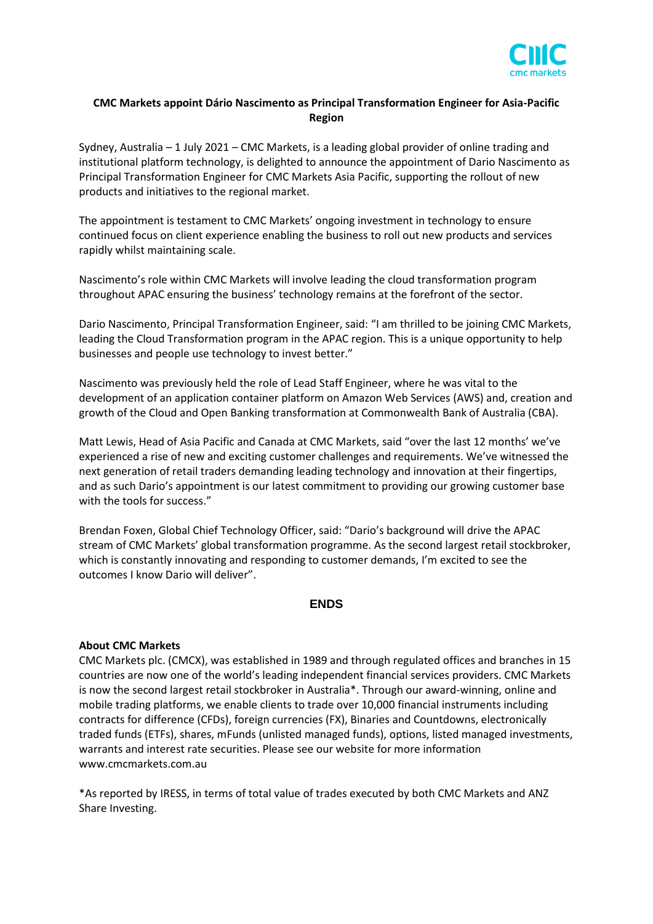

## **CMC Markets appoint Dário Nascimento as Principal Transformation Engineer for Asia-Pacific Region**

Sydney, Australia – 1 July 2021 – CMC Markets, is a leading global provider of online trading and institutional platform technology, is delighted to announce the appointment of Dario Nascimento as Principal Transformation Engineer for CMC Markets Asia Pacific, supporting the rollout of new products and initiatives to the regional market.

The appointment is testament to CMC Markets' ongoing investment in technology to ensure continued focus on client experience enabling the business to roll out new products and services rapidly whilst maintaining scale.

Nascimento's role within CMC Markets will involve leading the cloud transformation program throughout APAC ensuring the business' technology remains at the forefront of the sector.

Dario Nascimento, Principal Transformation Engineer, said: "I am thrilled to be joining CMC Markets, leading the Cloud Transformation program in the APAC region. This is a unique opportunity to help businesses and people use technology to invest better."

Nascimento was previously held the role of Lead Staff Engineer, where he was vital to the development of an application container platform on Amazon Web Services (AWS) and, creation and growth of the Cloud and Open Banking transformation at Commonwealth Bank of Australia (CBA).

Matt Lewis, Head of Asia Pacific and Canada at CMC Markets, said "over the last 12 months' we've experienced a rise of new and exciting customer challenges and requirements. We've witnessed the next generation of retail traders demanding leading technology and innovation at their fingertips, and as such Dario's appointment is our latest commitment to providing our growing customer base with the tools for success."

Brendan Foxen, Global Chief Technology Officer, said: "Dario's background will drive the APAC stream of CMC Markets' global transformation programme. As the second largest retail stockbroker, which is constantly innovating and responding to customer demands, I'm excited to see the outcomes I know Dario will deliver".

## **ENDS**

## **About CMC Markets**

CMC Markets plc. (CMCX), was established in 1989 and through regulated offices and branches in 15 countries are now one of the world's leading independent financial services providers. CMC Markets is now the second largest retail stockbroker in Australia\*. Through our award-winning, online and mobile trading platforms, we enable clients to trade over 10,000 financial instruments including contracts for difference (CFDs), foreign currencies (FX), Binaries and Countdowns, electronically traded funds (ETFs), shares, mFunds (unlisted managed funds), options, listed managed investments, warrants and interest rate securities. Please see our website for more information www.cmcmarkets.com.au

\*As reported by IRESS, in terms of total value of trades executed by both CMC Markets and ANZ Share Investing.